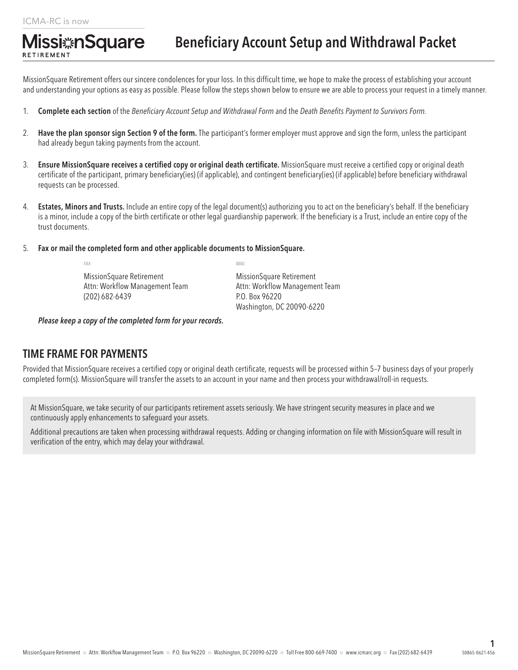RETIREMENT

**Missi**#nSquare

## Beneficiary Account Setup and Withdrawal Packet

MissionSquare Retirement offers our sincere condolences for your loss. In this difficult time, we hope to make the process of establishing your account and understanding your options as easy as possible. Please follow the steps shown below to ensure we are able to process your request in a timely manner.

- 1. Complete each section of the *Beneficiary Account Setup and Withdrawal Form* and the *Death Benefits Payment to Survivors Form.*
- 2. Have the plan sponsor sign Section 9 of the form. The participant's former employer must approve and sign the form, unless the participant had already begun taking payments from the account.
- 3. Ensure MissionSquare receives a certified copy or original death certificate. MissionSquare must receive a certified copy or original death certificate of the participant, primary beneficiary(ies) (if applicable), and contingent beneficiary(ies) (if applicable) before beneficiary withdrawal requests can be processed.
- 4. Estates, Minors and Trusts. Include an entire copy of the legal document(s) authorizing you to act on the beneficiary's behalf. If the beneficiary is a minor, include a copy of the birth certificate or other legal guardianship paperwork. If the beneficiary is a Trust, include an entire copy of the trust documents.
- 5. Fax or mail the completed form and other applicable documents to MissionSquare.

*FAX: MAIL:* MissionSquare Retirement MissionSquare Retirement Attn: Workflow Management Team Attn: Workflow Management Team (202) 682-6439 P.O. Box 96220

Washington, DC 20090-6220

*Please keep a copy of the completed form for your records.*

#### TIME FRAME FOR PAYMENTS

Provided that MissionSquare receives a certified copy or original death certificate, requests will be processed within 5–7 business days of your properly completed form(s). MissionSquare will transfer the assets to an account in your name and then process your withdrawal/roll-in requests.

At MissionSquare, we take security of our participants retirement assets seriously. We have stringent security measures in place and we continuously apply enhancements to safeguard your assets.

Additional precautions are taken when processing withdrawal requests. Adding or changing information on file with MissionSquare will result in verification of the entry, which may delay your withdrawal.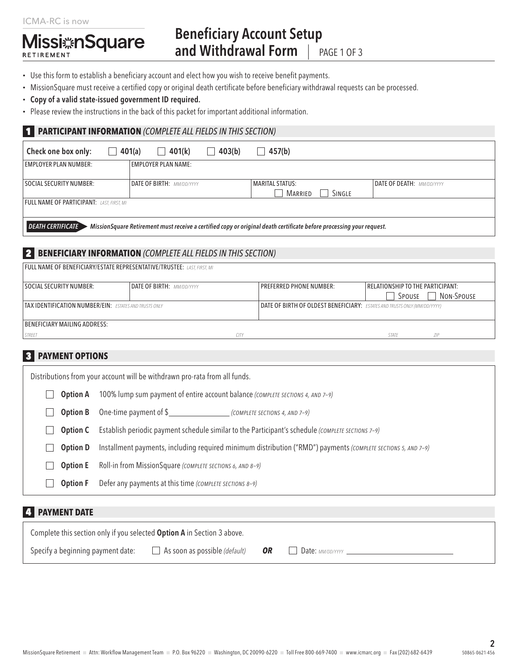#### ICMA-RC is now

RETIREMENT

**Missi**#nSquare

## Beneficiary Account Setup and Withdrawal Form | PAGE 1 OF 3

- Use this form to establish a beneficiary account and elect how you wish to receive benefit payments.
- MissionSquare must receive a certified copy or original death certificate before beneficiary withdrawal requests can be processed.
- Copy of a valid state-issued government ID required.
- Please review the instructions in the back of this packet for important additional information.

#### 1 **PARTICIPANT INFORMATION** *(COMPLETE ALL FIELDS IN THIS SECTION)*

| Check one box only:<br>$\mathcal{L}$                                                                                                             | 401(a)<br>401(k)<br>$\vert \ \ \vert$ | 403(b) | 457(b)                 |        |                           |
|--------------------------------------------------------------------------------------------------------------------------------------------------|---------------------------------------|--------|------------------------|--------|---------------------------|
| <b>EMPLOYER PLAN NUMBER:</b>                                                                                                                     | <b>EMPLOYER PLAN NAME:</b>            |        |                        |        |                           |
| SOCIAL SECURITY NUMBER:                                                                                                                          | <b>DATE OF BIRTH: MM/DD/YYYY</b>      |        | <b>MARITAL STATUS:</b> |        | DATE OF DEATH: MM/DD/YYYY |
|                                                                                                                                                  |                                       |        | MARRIED                | SINGLE |                           |
| <b>FULL NAME OF PARTICIPANT:</b> LAST, FIRST, MI                                                                                                 |                                       |        |                        |        |                           |
|                                                                                                                                                  |                                       |        |                        |        |                           |
| MissionSquare Retirement must receive a certified copy or original death certificate before processing your request.<br><b>DEATH CERTIFICATE</b> |                                       |        |                        |        |                           |

#### 2 **BENEFICIARY INFORMATION** *(COMPLETE ALL FIELDS IN THIS SECTION)*

| <b>FULL NAME OF BENEFICIARY/ESTATE REPRESENTATIVE/TRUSTEE: LAST, FIRST, MI</b> |                           |             |                                                                           |                                  |            |
|--------------------------------------------------------------------------------|---------------------------|-------------|---------------------------------------------------------------------------|----------------------------------|------------|
| <b>SOCIAL SECURITY NUMBER:</b>                                                 | DATE OF BIRTH: MM/DD/YYYY |             | <b>PREFERRED PHONE NUMBER:</b>                                            | RELATIONSHIP TO THE PARTICIPANT: |            |
|                                                                                |                           |             |                                                                           | Spouse                           | NON-SPOUSE |
| <b>TAX IDENTIFICATION NUMBER/EIN: ESTATES AND TRUSTS ONLY</b>                  |                           |             | DATE OF BIRTH OF OLDEST BENEFICIARY: ESTATES AND TRUSTS ONLY (MM/DD/YYYY) |                                  |            |
|                                                                                |                           |             |                                                                           |                                  |            |
| BENEFICIARY MAILING ADDRESS:                                                   |                           |             |                                                                           |                                  |            |
| <b>STREET</b>                                                                  |                           | <b>CITY</b> |                                                                           | STATE                            | 71P        |

#### 3 **PAYMENT OPTIONS**

| Distributions from your account will be withdrawn pro-rata from all funds. |                                                                                                               |  |  |  |
|----------------------------------------------------------------------------|---------------------------------------------------------------------------------------------------------------|--|--|--|
| <b>Option A</b>                                                            | 100% lump sum payment of entire account balance (COMPLETE SECTIONS 4, AND 7-9)                                |  |  |  |
| <b>Option B</b>                                                            | One-time payment of \$<br>(COMPLETE SECTIONS 4, AND 7-9)                                                      |  |  |  |
| <b>Option C</b>                                                            | Establish periodic payment schedule similar to the Participant's schedule (COMPLETE SECTIONS 7-9)             |  |  |  |
| <b>Option D</b>                                                            | Installment payments, including required minimum distribution ("RMD") payments (COMPLETE SECTIONS 5, AND 7-9) |  |  |  |
| <b>Option E</b>                                                            | Roll-in from MissionSquare (COMPLETE SECTIONS 6, AND 8-9)                                                     |  |  |  |
| <b>Option F</b>                                                            | Defer any payments at this time (COMPLETE SECTIONS 8-9)                                                       |  |  |  |
|                                                                            |                                                                                                               |  |  |  |

#### 4 **PAYMENT DATE**

| Complete this section only if you selected <b>Option A</b> in Section 3 above. |                                               |    |                             |
|--------------------------------------------------------------------------------|-----------------------------------------------|----|-----------------------------|
| Specify a beginning payment date:                                              | $\Box$ As soon as possible ( <i>default</i> ) | 0R | Date: <sub>MM/DD/YYYY</sub> |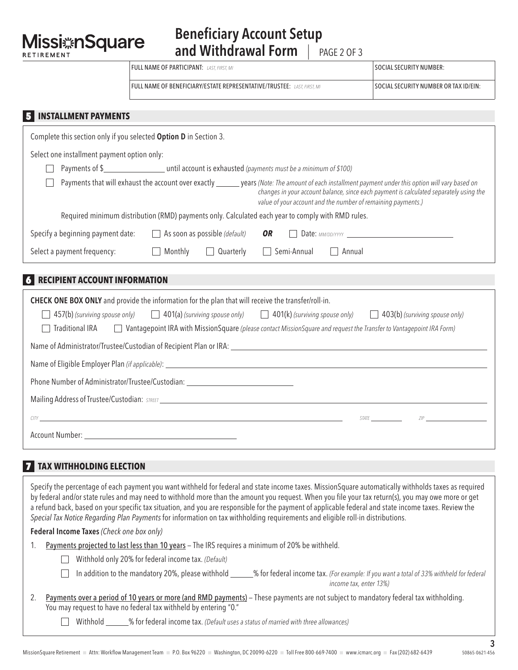**Missi**#nSquare RETIREMENT

| <b>FULL NAME OF PARTICIPANT:</b> LAST. FIRST. MI                        | <b>SOCIAL SECURITY NUMBER:</b>        |
|-------------------------------------------------------------------------|---------------------------------------|
| FULL NAME OF BENEFICIARY/ESTATE REPRESENTATIVE/TRUSTEE: LAST. FIRST. MI | SOCIAL SECURITY NUMBER OR TAX ID/EIN: |

#### 5 **INSTALLMENT PAYMENTS**

| Complete this section only if you selected Option D in Section 3.                                                                                                                                                                                                                                              |  |  |  |  |
|----------------------------------------------------------------------------------------------------------------------------------------------------------------------------------------------------------------------------------------------------------------------------------------------------------------|--|--|--|--|
| Select one installment payment option only:                                                                                                                                                                                                                                                                    |  |  |  |  |
|                                                                                                                                                                                                                                                                                                                |  |  |  |  |
| Payments that will exhaust the account over exactly _______ years (Note: The amount of each installment payment under this option will vary based on<br>changes in your account balance, since each payment is calculated separately using the<br>value of your account and the number of remaining payments.) |  |  |  |  |
| Required minimum distribution (RMD) payments only. Calculated each year to comply with RMD rules.                                                                                                                                                                                                              |  |  |  |  |
| Specify a beginning payment date:<br>$\Box$ As soon as possible (default)<br><b>OR</b>                                                                                                                                                                                                                         |  |  |  |  |
| $\Box$ Monthly<br>Semi-Annual<br>Select a payment frequency:<br>Quarterly<br>$\Box$<br>$\Box$ Annual                                                                                                                                                                                                           |  |  |  |  |
|                                                                                                                                                                                                                                                                                                                |  |  |  |  |
| <b>RECIPIENT ACCOUNT INFORMATION</b>                                                                                                                                                                                                                                                                           |  |  |  |  |
| <b>CHECK ONE BOX ONLY</b> and provide the information for the plan that will receive the transfer/roll-in.                                                                                                                                                                                                     |  |  |  |  |
| 457(b) (surviving spouse only)<br>$\Box$ 401(a) (surviving spouse only) $\Box$ 401(k) (surviving spouse only)<br>$\Box$ 403(b) (surviving spouse only)                                                                                                                                                         |  |  |  |  |
| <b>Traditional IRA</b><br>Vantagepoint IRA with MissionSquare (please contact MissionSquare and request the Transfer to Vantagepoint IRA Form)                                                                                                                                                                 |  |  |  |  |
| Name of Administrator/Trustee/Custodian of Recipient Plan or IRA: University of Content of Administrator/Trustee/Custodian of Recipient Plan or IRA: University of Content of Administrator/Trustee/Custodian of Recipient Pla                                                                                 |  |  |  |  |
|                                                                                                                                                                                                                                                                                                                |  |  |  |  |
| Phone Number of Administrator/Trustee/Custodian: _______________________________                                                                                                                                                                                                                               |  |  |  |  |
| Mailing Address of Trustee/Custodian: STREET CONSIDERING CONSIDERING CONSIDERING CONSIDERING CONSIDERING CONSIDERING                                                                                                                                                                                           |  |  |  |  |
| <b>STATE</b><br>ZIP                                                                                                                                                                                                                                                                                            |  |  |  |  |
|                                                                                                                                                                                                                                                                                                                |  |  |  |  |

#### **7 TAX WITHHOLDING ELECTION**

Specify the percentage of each payment you want withheld for federal and state income taxes. MissionSquare automatically withholds taxes as required by federal and/or state rules and may need to withhold more than the amount you request. When you file your tax return(s), you may owe more or get a refund back, based on your specific tax situation, and you are responsible for the payment of applicable federal and state income taxes. Review the *Special Tax Notice Regarding Plan Payments* for information on tax withholding requirements and eligible roll-in distributions.

Federal Income Taxes *(Check one box only)*

- 1. Payments projected to last less than 10 years The IRS requires a minimum of 20% be withheld.
	- Withhold only 20% for federal income tax. *(Default)*

| □ In addition to the mandatory 20%, please withhold | _% for federal income tax. (For example: If you want a total of 33% withheld for federal |
|-----------------------------------------------------|------------------------------------------------------------------------------------------|
|                                                     | income tax, enter 13%)                                                                   |

| 2. Payments over a period of 10 years or more (and RMD payments) – These payments are not subject to mandatory federal tax withholding. |
|-----------------------------------------------------------------------------------------------------------------------------------------|
| You may request to have no federal tax withheld by entering "0."                                                                        |

Withhold \_\_\_\_\_\_% for federal income tax. *(Default uses a status of married with three allowances)*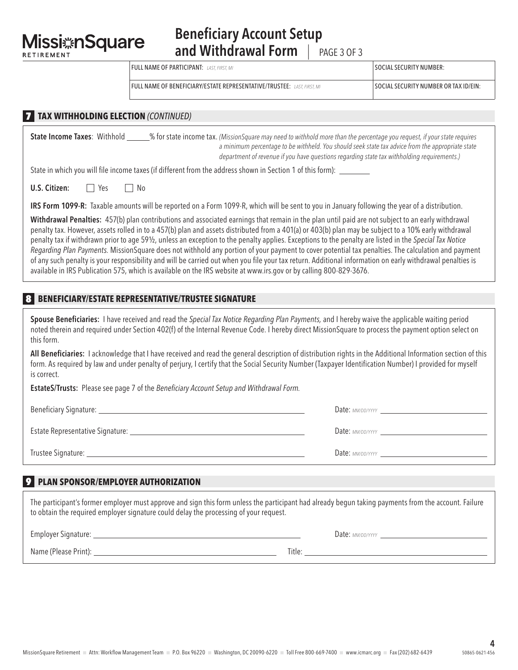**Missi nSquare** RETIREMENT

## Beneficiary Account Setup and Withdrawal Form | PAGE 3 OF 3

| <b>FULL NAME OF PARTICIPANT:</b> LAST, FIRST, MI                        | SOCIAL SECURITY NUMBER:               |
|-------------------------------------------------------------------------|---------------------------------------|
| FULL NAME OF BENEFICIARY/ESTATE REPRESENTATIVE/TRUSTEE: LAST. FIRST. MI | SOCIAL SECURITY NUMBER OR TAX ID/EIN: |

#### 7 **TAX WITHHOLDING ELECTION** *(CONTINUED)*

State Income Taxes: Withhold % for state income tax. *(MissionSquare may need to withhold more than the percentage you request, if your state requires a minimum percentage to be withheld. You should seek state tax advice from the appropriate state department of revenue if you have questions regarding state tax withholding requirements.)*

State in which you will file income taxes (if different from the address shown in Section 1 of this form):

**U.S. Citizen:**  $\Box$  Yes  $\Box$  No

IRS Form 1099-R: Taxable amounts will be reported on a Form 1099-R, which will be sent to you in January following the year of a distribution.

Withdrawal Penalties: 457(b) plan contributions and associated earnings that remain in the plan until paid are not subject to an early withdrawal penalty tax. However, assets rolled in to a 457(b) plan and assets distributed from a 401(a) or 403(b) plan may be subject to a 10% early withdrawal penalty tax if withdrawn prior to age 59½, unless an exception to the penalty applies. Exceptions to the penalty are listed in the *Special Tax Notice Regarding Plan Payments.* MissionSquare does not withhold any portion of your payment to cover potential tax penalties. The calculation and payment of any such penalty is your responsibility and will be carried out when you file your tax return. Additional information on early withdrawal penalties is available in IRS Publication 575, which is available on the IRS website at www.irs.gov or by calling 800-829-3676.

#### 8 **BENEFICIARY/ESTATE REPRESENTATIVE/TRUSTEE SIGNATURE**

Spouse Beneficiaries: I have received and read the *Special Tax Notice Regarding Plan Payments,* and I hereby waive the applicable waiting period noted therein and required under Section 402(f) of the Internal Revenue Code. I hereby direct MissionSquare to process the payment option select on this form.

All Beneficiaries: I acknowledge that I have received and read the general description of distribution rights in the Additional Information section of this form. As required by law and under penalty of perjury, I certify that the Social Security Number (Taxpayer Identification Number) I provided for myself is correct.

EstateS/Trusts: Please see page 7 of the *Beneficiary Account Setup and Withdrawal Form.*

Beneficiary Signature: **Date:** *MM/DD/YYYY* **Date:** *MM/DD/YYYY***<sub>2</sub> Date:** *MM/DD/YYYY***<sub>2</sub> Date:** *MM/DD/YYYY***<sub>2</sub> Date:** *MM/DD/YYYY***<sub>2</sub> Date:** *MM/DD/YYYY***<sub>2</sub> Date:** *MM/DD/YYYY***<sub>2</sub> Date:** *MM/DD/YYYY***<sub>2</sub> Date:** *MM/DD/YYYY***<sub>2</sub> D** 

Estate Representative Signature: Date: *MM/DD/YYYY*

Trustee Signature: <u>Communication and Communication and Communication</u> and Communication and Date: *MM/DD/YYYY* 

#### 9 **PLAN SPONSOR/EMPLOYER AUTHORIZATION**

The participant's former employer must approve and sign this form unless the participant had already begun taking payments from the account. Failure to obtain the required employer signature could delay the processing of your request.

Employer Signature: <u>Date: *MM/DD/YYYY*</u> 2014-01-2014 2014-01-2014 2014-01-2014 2014-01-2014 2014-01-2014 2014-01-2014 2014-01-2014 2014-01-2014 2014-01-2014 2014-01-2014 2014-01-2014 2014-01-2014 2014-01-2014 2014-01-2014

Name (Please Print): Title: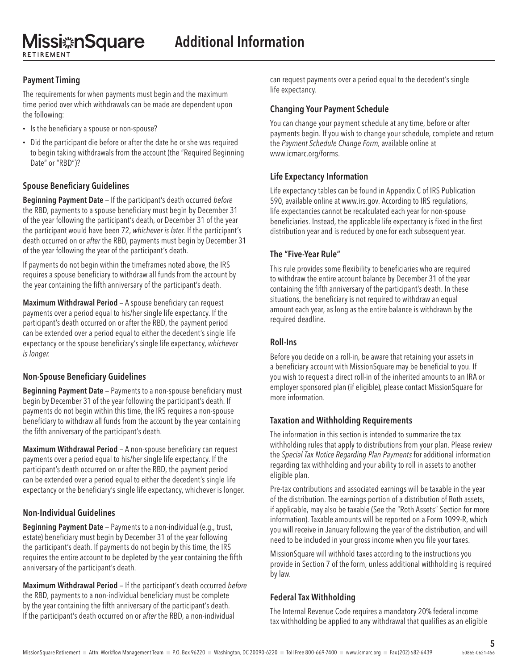**Missi nSquare** RETIREMENT

#### Payment Timing

The requirements for when payments must begin and the maximum time period over which withdrawals can be made are dependent upon the following:

- Is the beneficiary a spouse or non-spouse?
- Did the participant die before or after the date he or she was required to begin taking withdrawals from the account (the "Required Beginning Date" or "RBD")?

#### Spouse Beneficiary Guidelines

Beginning Payment Date — If the participant's death occurred *before* the RBD, payments to a spouse beneficiary must begin by December 31 of the year following the participant's death, or December 31 of the year the participant would have been 72, *whichever is later.* If the participant's death occurred on or *after* the RBD, payments must begin by December 31 of the year following the year of the participant's death.

If payments do not begin within the timeframes noted above, the IRS requires a spouse beneficiary to withdraw all funds from the account by the year containing the fifth anniversary of the participant's death.

Maximum Withdrawal Period — A spouse beneficiary can request payments over a period equal to his/her single life expectancy. If the participant's death occurred on or after the RBD, the payment period can be extended over a period equal to either the decedent's single life expectancy or the spouse beneficiary's single life expectancy, *whichever is longer.*

#### Non-Spouse Beneficiary Guidelines

Beginning Payment Date - Payments to a non-spouse beneficiary must begin by December 31 of the year following the participant's death. If payments do not begin within this time, the IRS requires a non-spouse beneficiary to withdraw all funds from the account by the year containing the fifth anniversary of the participant's death.

Maximum Withdrawal Period — A non-spouse beneficiary can request payments over a period equal to his/her single life expectancy. If the participant's death occurred on or after the RBD, the payment period can be extended over a period equal to either the decedent's single life expectancy or the beneficiary's single life expectancy, whichever is longer.

#### Non-Individual Guidelines

Beginning Payment Date — Payments to a non-individual (e.g., trust, estate) beneficiary must begin by December 31 of the year following the participant's death. If payments do not begin by this time, the IRS requires the entire account to be depleted by the year containing the fifth anniversary of the participant's death.

Maximum Withdrawal Period — If the participant's death occurred *before* the RBD, payments to a non-individual beneficiary must be complete by the year containing the fifth anniversary of the participant's death. If the participant's death occurred on or *after* the RBD, a non-individual

can request payments over a period equal to the decedent's single life expectancy.

#### Changing Your Payment Schedule

You can change your payment schedule at any time, before or after payments begin. If you wish to change your schedule, complete and return the *Payment Schedule Change Form,* available online at www.icmarc.org/forms.

#### Life Expectancy Information

Life expectancy tables can be found in Appendix C of IRS Publication 590, available online at www.irs.gov. According to IRS regulations, life expectancies cannot be recalculated each year for non-spouse beneficiaries. Instead, the applicable life expectancy is fixed in the first distribution year and is reduced by one for each subsequent year.

#### The "Five-Year Rule"

This rule provides some flexibility to beneficiaries who are required to withdraw the entire account balance by December 31 of the year containing the fifth anniversary of the participant's death. In these situations, the beneficiary is not required to withdraw an equal amount each year, as long as the entire balance is withdrawn by the required deadline.

#### Roll-Ins

Before you decide on a roll-in, be aware that retaining your assets in a beneficiary account with MissionSquare may be beneficial to you. If you wish to request a direct roll-in of the inherited amounts to an IRA or employer sponsored plan (if eligible), please contact MissionSquare for more information.

#### Taxation and Withholding Requirements

The information in this section is intended to summarize the tax withholding rules that apply to distributions from your plan. Please review the *Special Tax Notice Regarding Plan Payments* for additional information regarding tax withholding and your ability to roll in assets to another eligible plan.

Pre-tax contributions and associated earnings will be taxable in the year of the distribution. The earnings portion of a distribution of Roth assets, if applicable, may also be taxable (See the "Roth Assets" Section for more information). Taxable amounts will be reported on a Form 1099-R, which you will receive in January following the year of the distribution, and will need to be included in your gross income when you file your taxes.

MissionSquare will withhold taxes according to the instructions you provide in Section 7 of the form, unless additional withholding is required by law.

#### Federal Tax Withholding

The Internal Revenue Code requires a mandatory 20% federal income tax withholding be applied to any withdrawal that qualifies as an eligible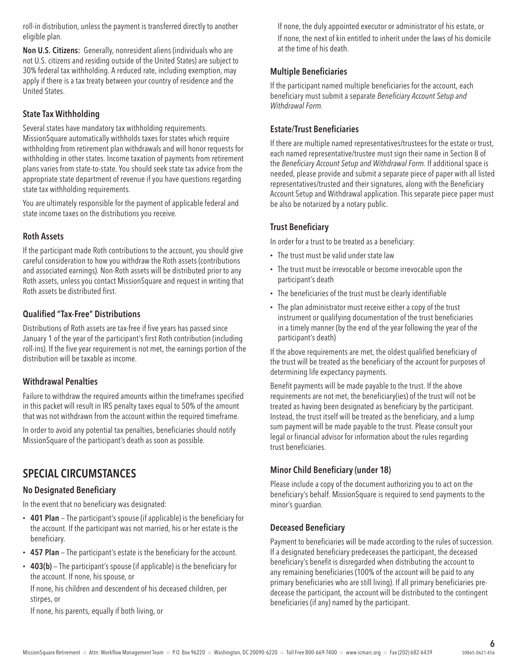roll-in distribution, unless the payment is transferred directly to another eligible plan.

Non U.S. Citizens: Generally, nonresident aliens (individuals who are not U.S. citizens and residing outside of the United States) are subject to 30% federal tax withholding. A reduced rate, including exemption, may apply if there is a tax treaty between your country of residence and the United States.

#### State Tax Withholding

Several states have mandatory tax withholding requirements. MissionSquare automatically withholds taxes for states which require withholding from retirement plan withdrawals and will honor requests for withholding in other states. Income taxation of payments from retirement plans varies from state-to-state. You should seek state tax advice from the appropriate state department of revenue if you have questions regarding state tax withholding requirements.

You are ultimately responsible for the payment of applicable federal and state income taxes on the distributions you receive.

#### Roth Assets

If the participant made Roth contributions to the account, you should give careful consideration to how you withdraw the Roth assets (contributions and associated earnings). Non-Roth assets will be distributed prior to any Roth assets, unless you contact MissionSquare and request in writing that Roth assets be distributed first.

#### Qualified "Tax-Free" Distributions

Distributions of Roth assets are tax-free if five years has passed since January 1 of the year of the participant's first Roth contribution (including roll-ins). If the five year requirement is not met, the earnings portion of the distribution will be taxable as income.

#### Withdrawal Penalties

Failure to withdraw the required amounts within the timeframes specified in this packet will result in IRS penalty taxes equal to 50% of the amount that was not withdrawn from the account within the required timeframe.

In order to avoid any potential tax penalties, beneficiaries should notify MissionSquare of the participant's death as soon as possible.

## SPECIAL CIRCUMSTANCES

#### No Designated Beneficiary

In the event that no beneficiary was designated:

- 401 Plan The participant's spouse (if applicable) is the beneficiary for the account. If the participant was not married, his or her estate is the beneficiary.
- 457 Plan The participant's estate is the beneficiary for the account.
- 403(b) The participant's spouse (if applicable) is the beneficiary for the account. If none, his spouse, or

If none, his children and descendent of his deceased children, per stirpes, or

If none, his parents, equally if both living, or

If none, the duly appointed executor or administrator of his estate, or If none, the next of kin entitled to inherit under the laws of his domicile at the time of his death.

#### Multiple Beneficiaries

If the participant named multiple beneficiaries for the account, each beneficiary must submit a separate *Beneficiary Account Setup and Withdrawal Form.*

#### Estate/Trust Beneficiaries

If there are multiple named representatives/trustees for the estate or trust, each named representative/trustee must sign their name in Section 8 of the *Beneficiary Account Setup and Withdrawal Form.* If additional space is needed, please provide and submit a separate piece of paper with all listed representatives/trusted and their signatures, along with the Beneficiary Account Setup and Withdrawal application. This separate piece paper must be also be notarized by a notary public.

#### Trust Beneficiary

In order for a trust to be treated as a beneficiary:

- The trust must be valid under state law
- The trust must be irrevocable or become irrevocable upon the participant's death
- The beneficiaries of the trust must be clearly identifiable
- The plan administrator must receive either a copy of the trust instrument or qualifying documentation of the trust beneficiaries in a timely manner (by the end of the year following the year of the participant's death)

If the above requirements are met, the oldest qualified beneficiary of the trust will be treated as the beneficiary of the account for purposes of determining life expectancy payments.

Benefit payments will be made payable to the trust. If the above requirements are not met, the beneficiary(ies) of the trust will not be treated as having been designated as beneficiary by the participant. Instead, the trust itself will be treated as the beneficiary, and a lump sum payment will be made payable to the trust. Please consult your legal or financial advisor for information about the rules regarding trust beneficiaries.

#### Minor Child Beneficiary (under 18)

Please include a copy of the document authorizing you to act on the beneficiary's behalf. MissionSquare is required to send payments to the minor's guardian.

#### Deceased Beneficiary

Payment to beneficiaries will be made according to the rules of succession. If a designated beneficiary predeceases the participant, the deceased beneficiary's benefit is disregarded when distributing the account to any remaining beneficiaries (100% of the account will be paid to any primary beneficiaries who are still living). If all primary beneficiaries predecease the participant, the account will be distributed to the contingent beneficiaries (if any) named by the participant.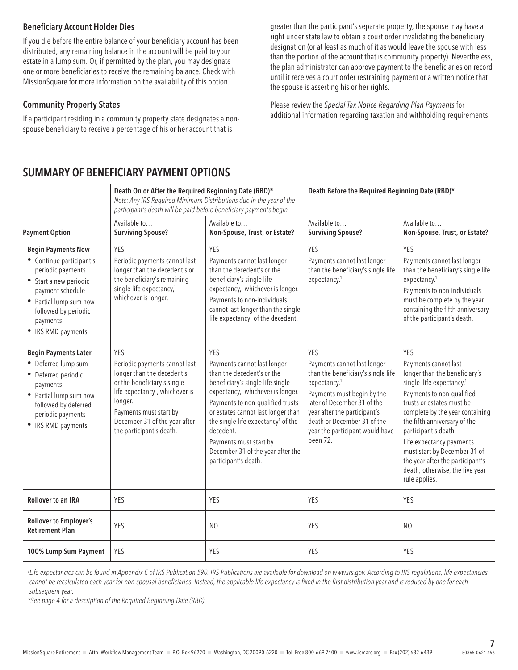#### Beneficiary Account Holder Dies

If you die before the entire balance of your beneficiary account has been distributed, any remaining balance in the account will be paid to your estate in a lump sum. Or, if permitted by the plan, you may designate one or more beneficiaries to receive the remaining balance. Check with MissionSquare for more information on the availability of this option.

#### Community Property States

If a participant residing in a community property state designates a nonspouse beneficiary to receive a percentage of his or her account that is

greater than the participant's separate property, the spouse may have a right under state law to obtain a court order invalidating the beneficiary designation (or at least as much of it as would leave the spouse with less than the portion of the account that is community property). Nevertheless, the plan administrator can approve payment to the beneficiaries on record until it receives a court order restraining payment or a written notice that the spouse is asserting his or her rights.

Please review the *Special Tax Notice Regarding Plan Payments* for additional information regarding taxation and withholding requirements.

## SUMMARY OF BENEFICIARY PAYMENT OPTIONS

|                                                                                                                                                                                                              | Death On or After the Required Beginning Date (RBD)*<br>participant's death will be paid before beneficiary payments begin.                                                                                                                        | Note: Any IRS Required Minimum Distributions due in the year of the                                                                                                                                                                                                                                                                                                                   | Death Before the Required Beginning Date (RBD)*                                                                                                                                                                                                                                 |                                                                                                                                                                                                                                                                                                                                                                                                               |  |
|--------------------------------------------------------------------------------------------------------------------------------------------------------------------------------------------------------------|----------------------------------------------------------------------------------------------------------------------------------------------------------------------------------------------------------------------------------------------------|---------------------------------------------------------------------------------------------------------------------------------------------------------------------------------------------------------------------------------------------------------------------------------------------------------------------------------------------------------------------------------------|---------------------------------------------------------------------------------------------------------------------------------------------------------------------------------------------------------------------------------------------------------------------------------|---------------------------------------------------------------------------------------------------------------------------------------------------------------------------------------------------------------------------------------------------------------------------------------------------------------------------------------------------------------------------------------------------------------|--|
| <b>Payment Option</b>                                                                                                                                                                                        | Available to<br><b>Surviving Spouse?</b>                                                                                                                                                                                                           | Available to<br>Non-Spouse, Trust, or Estate?                                                                                                                                                                                                                                                                                                                                         | Available to<br><b>Surviving Spouse?</b>                                                                                                                                                                                                                                        | Available to<br>Non-Spouse, Trust, or Estate?<br>YES<br>Payments cannot last longer<br>than the beneficiary's single life<br>expectancy. <sup>1</sup><br>Payments to non-individuals<br>must be complete by the year<br>containing the fifth anniversary<br>of the participant's death.                                                                                                                       |  |
| <b>Begin Payments Now</b><br>• Continue participant's<br>periodic payments<br>• Start a new periodic<br>payment schedule<br>• Partial lump sum now<br>followed by periodic<br>payments<br>• IRS RMD payments | <b>YES</b><br>Periodic payments cannot last<br>longer than the decedent's or<br>the beneficiary's remaining<br>single life expectancy, <sup>1</sup><br>whichever is longer.                                                                        | <b>YES</b><br>Payments cannot last longer<br>than the decedent's or the<br>beneficiary's single life<br>expectancy, <sup>1</sup> whichever is longer.<br>Payments to non-individuals<br>cannot last longer than the single<br>life expectancy <sup>1</sup> of the decedent.                                                                                                           | YES<br>Payments cannot last longer<br>than the beneficiary's single life<br>expectancy. <sup>1</sup>                                                                                                                                                                            |                                                                                                                                                                                                                                                                                                                                                                                                               |  |
| <b>Begin Payments Later</b><br>• Deferred lump sum<br>• Deferred periodic<br>payments<br>• Partial lump sum now<br>followed by deferred<br>periodic payments<br>• IRS RMD payments                           | YES<br>Periodic payments cannot last<br>longer than the decedent's<br>or the beneficiary's single<br>life expectancy <sup>1</sup> , whichever is<br>longer.<br>Payments must start by<br>December 31 of the year after<br>the participant's death. | YES<br>Payments cannot last longer<br>than the decedent's or the<br>beneficiary's single life single<br>expectancy, <sup>1</sup> whichever is longer.<br>Payments to non-qualified trusts<br>or estates cannot last longer than<br>the single life expectancy <sup>1</sup> of the<br>decedent.<br>Payments must start by<br>December 31 of the year after the<br>participant's death. | YES<br>Payments cannot last longer<br>than the beneficiary's single life<br>expectancy. <sup>1</sup><br>Payments must begin by the<br>later of December 31 of the<br>year after the participant's<br>death or December 31 of the<br>year the participant would have<br>been 72. | YES<br>Payments cannot last<br>longer than the beneficiary's<br>single life expectancy. <sup>1</sup><br>Payments to non-qualified<br>trusts or estates must be<br>complete by the year containing<br>the fifth anniversary of the<br>participant's death.<br>Life expectancy payments<br>must start by December 31 of<br>the year after the participant's<br>death; otherwise, the five year<br>rule applies. |  |
| <b>Rollover to an IRA</b>                                                                                                                                                                                    | YES                                                                                                                                                                                                                                                | YES                                                                                                                                                                                                                                                                                                                                                                                   | YES                                                                                                                                                                                                                                                                             | YES                                                                                                                                                                                                                                                                                                                                                                                                           |  |
| Rollover to Employer's<br><b>Retirement Plan</b>                                                                                                                                                             | YES                                                                                                                                                                                                                                                | N <sub>O</sub>                                                                                                                                                                                                                                                                                                                                                                        | YES                                                                                                                                                                                                                                                                             | N <sub>O</sub>                                                                                                                                                                                                                                                                                                                                                                                                |  |
| 100% Lump Sum Payment                                                                                                                                                                                        | YES                                                                                                                                                                                                                                                | YES                                                                                                                                                                                                                                                                                                                                                                                   | YES                                                                                                                                                                                                                                                                             | YES                                                                                                                                                                                                                                                                                                                                                                                                           |  |

<sup>1</sup>Life expectancies can be found in Appendix C of IRS Publication 590. IRS Publications are available for download on www.irs.gov. According to IRS regulations, life expectancies *cannot be recalculated each year for non-spousal beneficiaries. Instead, the applicable life expectancy is fixed in the first distribution year and is reduced by one for each subsequent year.*

*\*See page 4 for a description of the Required Beginning Date (RBD).*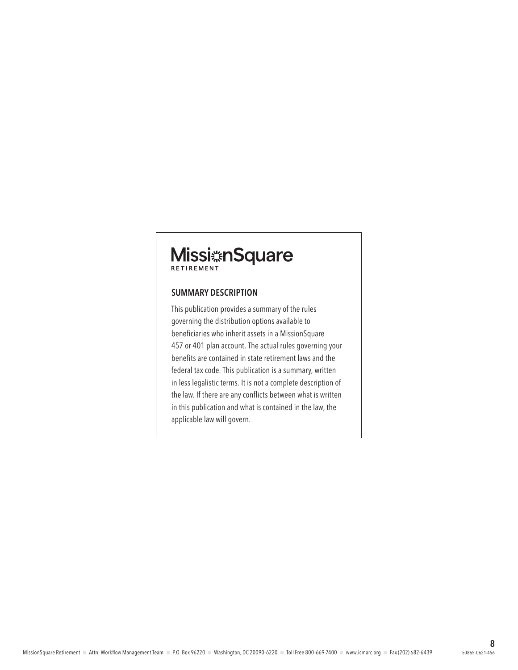# Missi KnSquare

#### SUMMARY DESCRIPTION

This publication provides a summary of the rules governing the distribution options available to beneficiaries who inherit assets in a MissionSquare 457 or 401 plan account. The actual rules governing your benefits are contained in state retirement laws and the federal tax code. This publication is a summary, written in less legalistic terms. It is not a complete description of the law. If there are any conflicts between what is written in this publication and what is contained in the law, the applicable law will govern.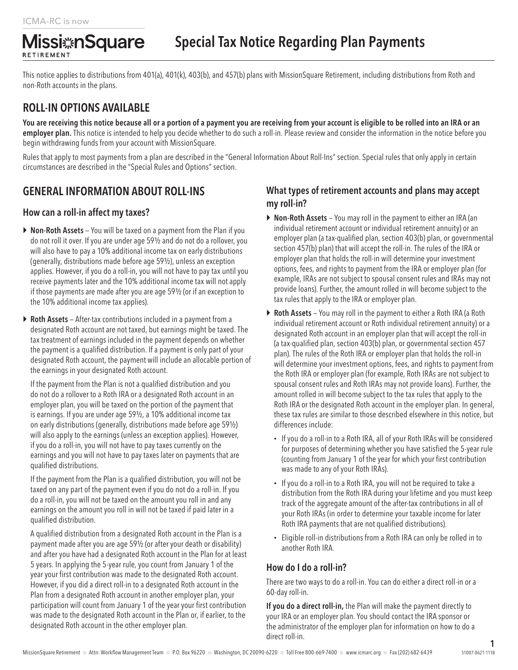RETIREMENT

This notice applies to distributions from 401(a), 401(k), 403(b), and 457(b) plans with MissionSquare Retirement, including distributions from Roth and non-Roth accounts in the plans.

## ROLL-IN OPTIONS AVAILABLE

**Missi**#nSquare

You are receiving this notice because all or a portion of a payment you are receiving from your account is eligible to be rolled into an IRA or an employer plan. This notice is intended to help you decide whether to do such a roll-in. Please review and consider the information in the notice before you begin withdrawing funds from your account with MissionSquare.

Rules that apply to most payments from a plan are described in the "General Information About Roll-Ins" section. Special rules that only apply in certain circumstances are described in the "Special Rules and Options" section.

## GENERAL INFORMATION ABOUT ROLL-INS

#### How can a roll-in affect my taxes?

- ▶ Non-Roth Assets You will be taxed on a payment from the Plan if you do not roll it over. If you are under age 59½ and do not do a rollover, you will also have to pay a 10% additional income tax on early distributions (generally, distributions made before age 59½), unless an exception applies. However, if you do a roll-in, you will not have to pay tax until you receive payments later and the 10% additional income tax will not apply if those payments are made after you are age 59½ (or if an exception to the 10% additional income tax applies).
- ▶ Roth Assets After-tax contributions included in a payment from a designated Roth account are not taxed, but earnings might be taxed. The tax treatment of earnings included in the payment depends on whether the payment is a qualified distribution. If a payment is only part of your designated Roth account, the payment will include an allocable portion of the earnings in your designated Roth account.

If the payment from the Plan is not a qualified distribution and you do not do a rollover to a Roth IRA or a designated Roth account in an employer plan, you will be taxed on the portion of the payment that is earnings. If you are under age 59½, a 10% additional income tax on early distributions (generally, distributions made before age 59½) will also apply to the earnings (unless an exception applies). However, if you do a roll-in, you will not have to pay taxes currently on the earnings and you will not have to pay taxes later on payments that are qualified distributions.

If the payment from the Plan is a qualified distribution, you will not be taxed on any part of the payment even if you do not do a roll-in. If you do a roll-in, you will not be taxed on the amount you roll in and any earnings on the amount you roll in will not be taxed if paid later in a qualified distribution.

A qualified distribution from a designated Roth account in the Plan is a payment made after you are age 59½ (or after your death or disability) and after you have had a designated Roth account in the Plan for at least 5 years. In applying the 5-year rule, you count from January 1 of the year your first contribution was made to the designated Roth account. However, if you did a direct roll-in to a designated Roth account in the Plan from a designated Roth account in another employer plan, your participation will count from January 1 of the year your first contribution was made to the designated Roth account in the Plan or, if earlier, to the designated Roth account in the other employer plan.

#### What types of retirement accounts and plans may accept my roll-in?

- ▶ Non-Roth Assets You may roll in the payment to either an IRA (an individual retirement account or individual retirement annuity) or an employer plan (a tax-qualified plan, section 403(b) plan, or governmental section 457(b) plan) that will accept the roll-in. The rules of the IRA or employer plan that holds the roll-in will determine your investment options, fees, and rights to payment from the IRA or employer plan (for example, IRAs are not subject to spousal consent rules and IRAs may not provide loans). Further, the amount rolled in will become subject to the tax rules that apply to the IRA or employer plan.
- ▶ Roth Assets You may roll in the payment to either a Roth IRA (a Roth individual retirement account or Roth individual retirement annuity) or a designated Roth account in an employer plan that will accept the roll-in (a tax-qualified plan, section 403(b) plan, or governmental section 457 plan). The rules of the Roth IRA or employer plan that holds the roll-in will determine your investment options, fees, and rights to payment from the Roth IRA or employer plan (for example, Roth IRAs are not subject to spousal consent rules and Roth IRAs may not provide loans). Further, the amount rolled in will become subject to the tax rules that apply to the Roth IRA or the designated Roth account in the employer plan. In general, these tax rules are similar to those described elsewhere in this notice, but differences include:
	- If you do a roll-in to a Roth IRA, all of your Roth IRAs will be considered for purposes of determining whether you have satisfied the 5-year rule (counting from January 1 of the year for which your first contribution was made to any of your Roth IRAs).
	- If you do a roll-in to a Roth IRA, you will not be required to take a distribution from the Roth IRA during your lifetime and you must keep track of the aggregate amount of the after-tax contributions in all of your Roth IRAs (in order to determine your taxable income for later Roth IRA payments that are not qualified distributions).
	- Eligible roll-in distributions from a Roth IRA can only be rolled in to another Roth IRA.

#### How do I do a roll-in?

There are two ways to do a roll-in. You can do either a direct roll-in or a 60-day roll-in.

If you do a direct roll-in, the Plan will make the payment directly to your IRA or an employer plan. You should contact the IRA sponsor or the administrator of the employer plan for information on how to do a direct roll-in.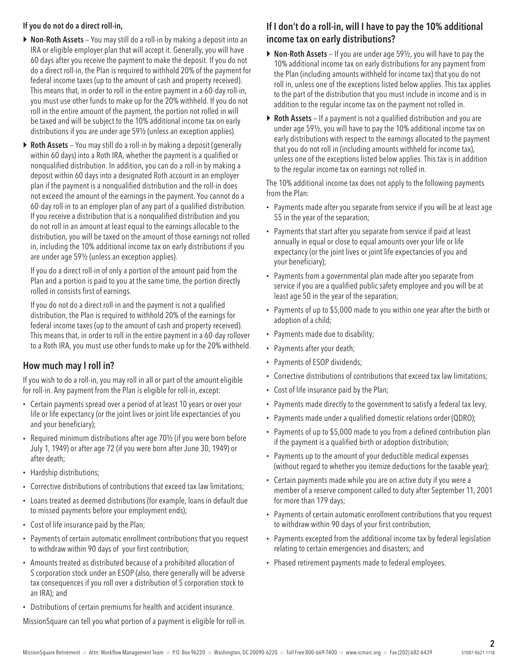#### If you do not do a direct roll-in,

- ▶ Non-Roth Assets You may still do a roll-in by making a deposit into an IRA or eligible employer plan that will accept it. Generally, you will have 60 days after you receive the payment to make the deposit. If you do not do a direct roll-in, the Plan is required to withhold 20% of the payment for federal income taxes (up to the amount of cash and property received). This means that, in order to roll in the entire payment in a 60-day roll-in, you must use other funds to make up for the 20% withheld. If you do not roll in the entire amount of the payment, the portion not rolled in will be taxed and will be subject to the 10% additional income tax on early distributions if you are under age 59½ (unless an exception applies).
- $\triangleright$  Roth Assets You may still do a roll-in by making a deposit (generally within 60 days) into a Roth IRA, whether the payment is a qualified or nonqualified distribution. In addition, you can do a roll-in by making a deposit within 60 days into a designated Roth account in an employer plan if the payment is a nonqualified distribution and the roll-in does not exceed the amount of the earnings in the payment. You cannot do a 60-day roll-in to an employer plan of any part of a qualified distribution. If you receive a distribution that is a nonqualified distribution and you do not roll in an amount at least equal to the earnings allocable to the distribution, you will be taxed on the amount of those earnings not rolled in, including the 10% additional income tax on early distributions if you are under age 59½ (unless an exception applies).

If you do a direct roll-in of only a portion of the amount paid from the Plan and a portion is paid to you at the same time, the portion directly rolled in consists first of earnings.

If you do not do a direct roll-in and the payment is not a qualified distribution, the Plan is required to withhold 20% of the earnings for federal income taxes (up to the amount of cash and property received). This means that, in order to roll in the entire payment in a 60-day rollover to a Roth IRA, you must use other funds to make up for the 20% withheld.

#### How much may I roll in?

If you wish to do a roll-in, you may roll in all or part of the amount eligible for roll-in. Any payment from the Plan is eligible for roll-in, except:

- Certain payments spread over a period of at least 10 years or over your life or life expectancy (or the joint lives or joint life expectancies of you and your beneficiary);
- Required minimum distributions after age 70½ (if you were born before July 1, 1949) or after age 72 (if you were born after June 30, 1949) or after death;
- Hardship distributions;
- Corrective distributions of contributions that exceed tax law limitations;
- Loans treated as deemed distributions (for example, loans in default due to missed payments before your employment ends);
- Cost of life insurance paid by the Plan;
- Payments of certain automatic enrollment contributions that you request to withdraw within 90 days of your first contribution;
- Amounts treated as distributed because of a prohibited allocation of S corporation stock under an ESOP (also, there generally will be adverse tax consequences if you roll over a distribution of S corporation stock to an IRA); and
- Distributions of certain premiums for health and accident insurance.

MissionSquare can tell you what portion of a payment is eligible for roll-in.

### If I don't do a roll-in, will I have to pay the 10% additional income tax on early distributions?

- $\triangleright$  Non-Roth Assets If you are under age 59½, you will have to pay the 10% additional income tax on early distributions for any payment from the Plan (including amounts withheld for income tax) that you do not roll in, unless one of the exceptions listed below applies. This tax applies to the part of the distribution that you must include in income and is in addition to the regular income tax on the payment not rolled in.
- $\triangleright$  Roth Assets If a payment is not a qualified distribution and you are under age 59½, you will have to pay the 10% additional income tax on early distributions with respect to the earnings allocated to the payment that you do not roll in (including amounts withheld for income tax), unless one of the exceptions listed below applies. This tax is in addition to the regular income tax on earnings not rolled in.

The 10% additional income tax does not apply to the following payments from the Plan:

- Payments made after you separate from service if you will be at least age 55 in the year of the separation;
- Payments that start after you separate from service if paid at least annually in equal or close to equal amounts over your life or life expectancy (or the joint lives or joint life expectancies of you and your beneficiary);
- Payments from a governmental plan made after you separate from service if you are a qualified public safety employee and you will be at least age 50 in the year of the separation;
- Payments of up to \$5,000 made to you within one year after the birth or adoption of a child;
- Payments made due to disability;
- Payments after your death;
- Payments of ESOP dividends;
- Corrective distributions of contributions that exceed tax law limitations;
- Cost of life insurance paid by the Plan;
- Payments made directly to the government to satisfy a federal tax levy;
- Payments made under a qualified domestic relations order (QDRO);
- Payments of up to \$5,000 made to you from a defined contribution plan if the payment is a qualified birth or adoption distribution;
- Payments up to the amount of your deductible medical expenses (without regard to whether you itemize deductions for the taxable year);
- Certain payments made while you are on active duty if you were a member of a reserve component called to duty after September 11, 2001 for more than 179 days;
- Payments of certain automatic enrollment contributions that you request to withdraw within 90 days of your first contribution;
- Payments excepted from the additional income tax by federal legislation relating to certain emergencies and disasters; and
- Phased retirement payments made to federal employees.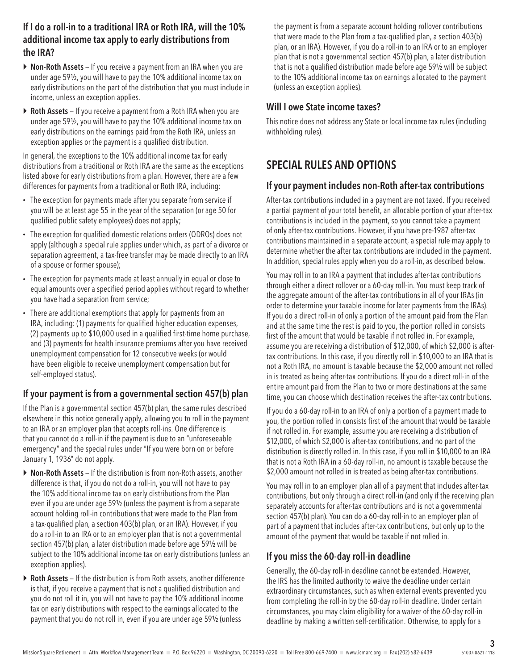#### If I do a roll-in to a traditional IRA or Roth IRA, will the 10% additional income tax apply to early distributions from the IRA?

- $\triangleright$  Non-Roth Assets If you receive a payment from an IRA when you are under age 59½, you will have to pay the 10% additional income tax on early distributions on the part of the distribution that you must include in income, unless an exception applies.
- $\triangleright$  Roth Assets If you receive a payment from a Roth IRA when you are under age 59½, you will have to pay the 10% additional income tax on early distributions on the earnings paid from the Roth IRA, unless an exception applies or the payment is a qualified distribution.

In general, the exceptions to the 10% additional income tax for early distributions from a traditional or Roth IRA are the same as the exceptions listed above for early distributions from a plan. However, there are a few differences for payments from a traditional or Roth IRA, including:

- The exception for payments made after you separate from service if you will be at least age 55 in the year of the separation (or age 50 for qualified public safety employees) does not apply;
- The exception for qualified domestic relations orders (QDROs) does not apply (although a special rule applies under which, as part of a divorce or separation agreement, a tax-free transfer may be made directly to an IRA of a spouse or former spouse);
- The exception for payments made at least annually in equal or close to equal amounts over a specified period applies without regard to whether you have had a separation from service;
- There are additional exemptions that apply for payments from an IRA, including: (1) payments for qualified higher education expenses, (2) payments up to \$10,000 used in a qualified first-time home purchase, and (3) payments for health insurance premiums after you have received unemployment compensation for 12 consecutive weeks (or would have been eligible to receive unemployment compensation but for self-employed status).

#### If your payment is from a governmental section 457(b) plan

If the Plan is a governmental section 457(b) plan, the same rules described elsewhere in this notice generally apply, allowing you to roll in the payment to an IRA or an employer plan that accepts roll-ins. One difference is that you cannot do a roll-in if the payment is due to an "unforeseeable emergency" and the special rules under "If you were born on or before January 1, 1936" do not apply.

- ▶ Non-Roth Assets If the distribution is from non-Roth assets, another difference is that, if you do not do a roll-in, you will not have to pay the 10% additional income tax on early distributions from the Plan even if you are under age 59½ (unless the payment is from a separate account holding roll-in contributions that were made to the Plan from a tax-qualified plan, a section 403(b) plan, or an IRA). However, if you do a roll-in to an IRA or to an employer plan that is not a governmental section 457(b) plan, a later distribution made before age 59½ will be subject to the 10% additional income tax on early distributions (unless an exception applies).
- $\triangleright$  Roth Assets If the distribution is from Roth assets, another difference is that, if you receive a payment that is not a qualified distribution and you do not roll it in, you will not have to pay the 10% additional income tax on early distributions with respect to the earnings allocated to the payment that you do not roll in, even if you are under age 59½ (unless

the payment is from a separate account holding rollover contributions that were made to the Plan from a tax-qualified plan, a section 403(b) plan, or an IRA). However, if you do a roll-in to an IRA or to an employer plan that is not a governmental section 457(b) plan, a later distribution that is not a qualified distribution made before age 59½ will be subject to the 10% additional income tax on earnings allocated to the payment (unless an exception applies).

#### Will I owe State income taxes?

This notice does not address any State or local income tax rules (including withholding rules).

## SPECIAL RULES AND OPTIONS

#### If your payment includes non-Roth after-tax contributions

After-tax contributions included in a payment are not taxed. If you received a partial payment of your total benefit, an allocable portion of your after-tax contributions is included in the payment, so you cannot take a payment of only after-tax contributions. However, if you have pre-1987 after-tax contributions maintained in a separate account, a special rule may apply to determine whether the after tax contributions are included in the payment. In addition, special rules apply when you do a roll-in, as described below.

You may roll in to an IRA a payment that includes after-tax contributions through either a direct rollover or a 60-day roll-in. You must keep track of the aggregate amount of the after-tax contributions in all of your IRAs (in order to determine your taxable income for later payments from the IRAs). If you do a direct roll-in of only a portion of the amount paid from the Plan and at the same time the rest is paid to you, the portion rolled in consists first of the amount that would be taxable if not rolled in. For example, assume you are receiving a distribution of \$12,000, of which \$2,000 is aftertax contributions. In this case, if you directly roll in \$10,000 to an IRA that is not a Roth IRA, no amount is taxable because the \$2,000 amount not rolled in is treated as being after-tax contributions. If you do a direct roll-in of the entire amount paid from the Plan to two or more destinations at the same time, you can choose which destination receives the after-tax contributions.

If you do a 60-day roll-in to an IRA of only a portion of a payment made to you, the portion rolled in consists first of the amount that would be taxable if not rolled in. For example, assume you are receiving a distribution of \$12,000, of which \$2,000 is after-tax contributions, and no part of the distribution is directly rolled in. In this case, if you roll in \$10,000 to an IRA that is not a Roth IRA in a 60-day roll-in, no amount is taxable because the \$2,000 amount not rolled in is treated as being after-tax contributions.

You may roll in to an employer plan all of a payment that includes after-tax contributions, but only through a direct roll-in (and only if the receiving plan separately accounts for after-tax contributions and is not a governmental section 457(b) plan). You can do a 60-day roll-in to an employer plan of part of a payment that includes after-tax contributions, but only up to the amount of the payment that would be taxable if not rolled in.

#### If you miss the 60-day roll-in deadline

Generally, the 60-day roll-in deadline cannot be extended. However, the IRS has the limited authority to waive the deadline under certain extraordinary circumstances, such as when external events prevented you from completing the roll-in by the 60-day roll-in deadline. Under certain circumstances, you may claim eligibility for a waiver of the 60-day roll-in deadline by making a written self-certification. Otherwise, to apply for a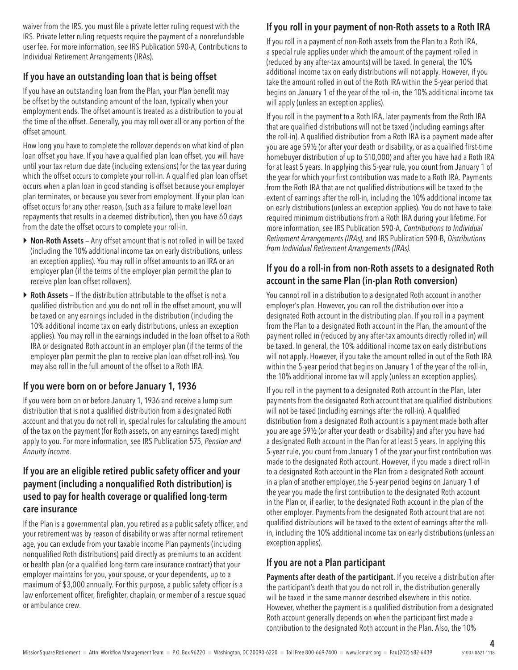waiver from the IRS, you must file a private letter ruling request with the IRS. Private letter ruling requests require the payment of a nonrefundable user fee. For more information, see IRS Publication 590-A, Contributions to Individual Retirement Arrangements (IRAs).

#### If you have an outstanding loan that is being offset

If you have an outstanding loan from the Plan, your Plan benefit may be offset by the outstanding amount of the loan, typically when your employment ends. The offset amount is treated as a distribution to you at the time of the offset. Generally, you may roll over all or any portion of the offset amount.

How long you have to complete the rollover depends on what kind of plan loan offset you have. If you have a qualified plan loan offset, you will have until your tax return due date (including extensions) for the tax year during which the offset occurs to complete your roll-in. A qualified plan loan offset occurs when a plan loan in good standing is offset because your employer plan terminates, or because you sever from employment. If your plan loan offset occurs for any other reason, (such as a failure to make level loan repayments that results in a deemed distribution), then you have 60 days from the date the offset occurs to complete your roll-in.

- ▶ Non-Roth Assets Any offset amount that is not rolled in will be taxed (including the 10% additional income tax on early distributions, unless an exception applies). You may roll in offset amounts to an IRA or an employer plan (if the terms of the employer plan permit the plan to receive plan loan offset rollovers).
- $\triangleright$  Roth Assets If the distribution attributable to the offset is not a qualified distribution and you do not roll in the offset amount, you will be taxed on any earnings included in the distribution (including the 10% additional income tax on early distributions, unless an exception applies). You may roll in the earnings included in the loan offset to a Roth IRA or designated Roth account in an employer plan (if the terms of the employer plan permit the plan to receive plan loan offset roll-ins). You may also roll in the full amount of the offset to a Roth IRA.

## If you were born on or before January 1, 1936

If you were born on or before January 1, 1936 and receive a lump sum distribution that is not a qualified distribution from a designated Roth account and that you do not roll in, special rules for calculating the amount of the tax on the payment (for Roth assets, on any earnings taxed) might apply to you. For more information, see IRS Publication 575, *Pension and Annuity Income.*

#### If you are an eligible retired public safety officer and your payment (including a nonqualified Roth distribution) is used to pay for health coverage or qualified long-term care insurance

If the Plan is a governmental plan, you retired as a public safety officer, and your retirement was by reason of disability or was after normal retirement age, you can exclude from your taxable income Plan payments (including nonqualified Roth distributions) paid directly as premiums to an accident or health plan (or a qualified long-term care insurance contract) that your employer maintains for you, your spouse, or your dependents, up to a maximum of \$3,000 annually. For this purpose, a public safety officer is a law enforcement officer, firefighter, chaplain, or member of a rescue squad or ambulance crew.

## If you roll in your payment of non-Roth assets to a Roth IRA

If you roll in a payment of non-Roth assets from the Plan to a Roth IRA, a special rule applies under which the amount of the payment rolled in (reduced by any after-tax amounts) will be taxed. In general, the 10% additional income tax on early distributions will not apply. However, if you take the amount rolled in out of the Roth IRA within the 5-year period that begins on January 1 of the year of the roll-in, the 10% additional income tax will apply (unless an exception applies).

If you roll in the payment to a Roth IRA, later payments from the Roth IRA that are qualified distributions will not be taxed (including earnings after the roll-in). A qualified distribution from a Roth IRA is a payment made after you are age 59½ (or after your death or disability, or as a qualified first-time homebuyer distribution of up to \$10,000) and after you have had a Roth IRA for at least 5 years. In applying this 5-year rule, you count from January 1 of the year for which your first contribution was made to a Roth IRA. Payments from the Roth IRA that are not qualified distributions will be taxed to the extent of earnings after the roll-in, including the 10% additional income tax on early distributions (unless an exception applies). You do not have to take required minimum distributions from a Roth IRA during your lifetime. For more information, see IRS Publication 590-A, *Contributions to Individual Retirement Arrangements (IRAs),* and IRS Publication 590-B, *Distributions from Individual Retirement Arrangements (IRAs).*

### If you do a roll-in from non-Roth assets to a designated Roth account in the same Plan (in-plan Roth conversion)

You cannot roll in a distribution to a designated Roth account in another employer's plan. However, you can roll the distribution over into a designated Roth account in the distributing plan. If you roll in a payment from the Plan to a designated Roth account in the Plan, the amount of the payment rolled in (reduced by any after-tax amounts directly rolled in) will be taxed. In general, the 10% additional income tax on early distributions will not apply. However, if you take the amount rolled in out of the Roth IRA within the 5-year period that begins on January 1 of the year of the roll-in, the 10% additional income tax will apply (unless an exception applies).

If you roll in the payment to a designated Roth account in the Plan, later payments from the designated Roth account that are qualified distributions will not be taxed (including earnings after the roll-in). A qualified distribution from a designated Roth account is a payment made both after you are age 59½ (or after your death or disability) and after you have had a designated Roth account in the Plan for at least 5 years. In applying this 5-year rule, you count from January 1 of the year your first contribution was made to the designated Roth account. However, if you made a direct roll-in to a designated Roth account in the Plan from a designated Roth account in a plan of another employer, the 5-year period begins on January 1 of the year you made the first contribution to the designated Roth account in the Plan or, if earlier, to the designated Roth account in the plan of the other employer. Payments from the designated Roth account that are not qualified distributions will be taxed to the extent of earnings after the rollin, including the 10% additional income tax on early distributions (unless an exception applies).

## If you are not a Plan participant

Payments after death of the participant. If you receive a distribution after the participant's death that you do not roll in, the distribution generally will be taxed in the same manner described elsewhere in this notice. However, whether the payment is a qualified distribution from a designated Roth account generally depends on when the participant first made a contribution to the designated Roth account in the Plan. Also, the 10%